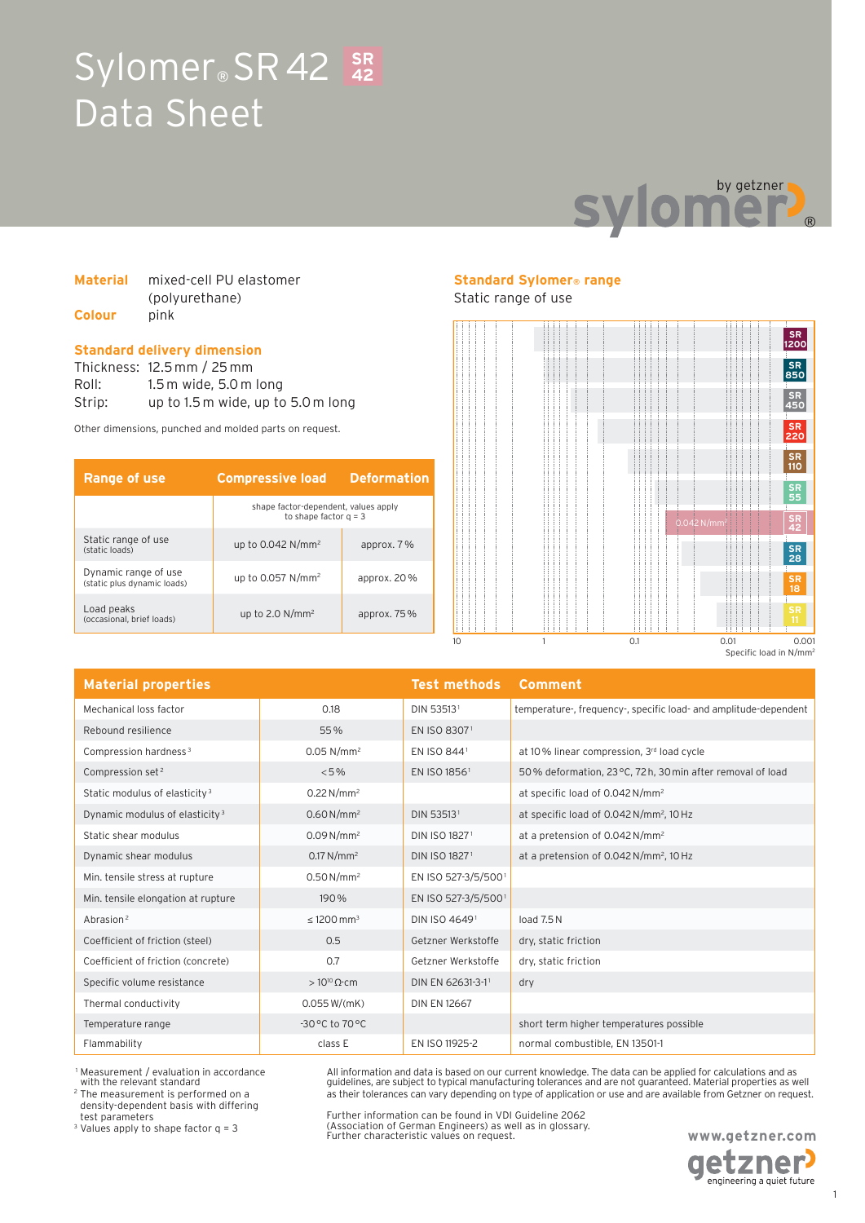## Sylomer<sup>®</sup> SR 42 SR Data Sheet **42**



### **Material** mixed-cell PU elastomer (polyurethane) **Colour** pink

### **Standard delivery dimension**

Thickness: 12.5 mm / 25 mm Roll: 1.5 m wide, 5.0 m long Strip: up to 1.5 m wide, up to 5.0 m long

Other dimensions, punched and molded parts on request.

| <b>Range of use</b>                                 | <b>Compressive load</b>                                         | <b>Deformation</b> |
|-----------------------------------------------------|-----------------------------------------------------------------|--------------------|
|                                                     | shape factor-dependent, values apply<br>to shape factor $q = 3$ |                    |
| Static range of use<br>(static loads)               | up to $0.042$ N/mm <sup>2</sup>                                 | approx. 7 %        |
| Dynamic range of use<br>(static plus dynamic loads) | up to $0.057$ N/mm <sup>2</sup>                                 | approx. $20\%$     |
| Load peaks<br>(occasional, brief loads)             | up to 2.0 $N/mm^2$                                              | approx. $75\%$     |

### **Standard Sylomer® range**

### Static range of use



| <b>Material properties</b>                 |                             | <b>Test methods</b> | Comment                                                          |
|--------------------------------------------|-----------------------------|---------------------|------------------------------------------------------------------|
| Mechanical loss factor                     | 0.18                        | DIN 535131          | temperature-, frequency-, specific load- and amplitude-dependent |
| Rebound resilience                         | 55%                         | EN ISO 83071        |                                                                  |
| Compression hardness <sup>3</sup>          | $0.05$ N/mm <sup>2</sup>    | EN ISO 8441         | at 10% linear compression, 3rd load cycle                        |
| Compression set <sup>2</sup>               | < 5%                        | EN ISO 18561        | 50% deformation, 23 °C, 72 h, 30 min after removal of load       |
| Static modulus of elasticity <sup>3</sup>  | $0.22 N/mm^2$               |                     | at specific load of 0.042 N/mm <sup>2</sup>                      |
| Dynamic modulus of elasticity <sup>3</sup> | $0.60 N/mm^2$               | DIN 535131          | at specific load of 0.042 N/mm <sup>2</sup> , 10 Hz              |
| Static shear modulus                       | $0.09 N/mm^2$               | DIN ISO 18271       | at a pretension of 0.042 N/mm <sup>2</sup>                       |
| Dynamic shear modulus                      | $0.17 N/mm^2$               | DIN ISO 18271       | at a pretension of 0.042 N/mm <sup>2</sup> , 10 Hz               |
| Min. tensile stress at rupture             | $0.50 N/mm^2$               | EN ISO 527-3/5/5001 |                                                                  |
| Min. tensile elongation at rupture         | 190%                        | EN ISO 527-3/5/5001 |                                                                  |
| Abrasion <sup>2</sup>                      | $\leq 1200$ mm <sup>3</sup> | DIN ISO 46491       | load 7.5N                                                        |
| Coefficient of friction (steel)            | 0.5                         | Getzner Werkstoffe  | dry, static friction                                             |
| Coefficient of friction (concrete)         | 0.7                         | Getzner Werkstoffe  | dry, static friction                                             |
| Specific volume resistance                 | $>10^{10} \Omega$ cm        | DIN EN 62631-3-11   | dry                                                              |
| Thermal conductivity                       | 0.055 W/(mK)                | <b>DIN EN 12667</b> |                                                                  |
| Temperature range                          | -30 °C to 70 °C             |                     | short term higher temperatures possible                          |
| Flammability                               | class E                     | EN ISO 11925-2      | normal combustible, EN 13501-1                                   |

1 Measurement / evaluation in accordance

with the relevant standard 2 The measurement is performed on a density-dependent basis with differing test parameters

<sup>3</sup> Values apply to shape factor  $q = 3$ 

Further information can be found in VDI Guideline 2062 (Association of German Engineers) as well as in glossary. Further characteristic values on request.

All information and data is based on our current knowledge. The data can be applied for calculations and as guidelines, are subject to typical manufacturing tolerances and are not guaranteed. Material properties as well as their tolerances can vary depending on type of application or use and are available from Getzner on request.

> **www.getzner.com etzner**

engineering a quiet future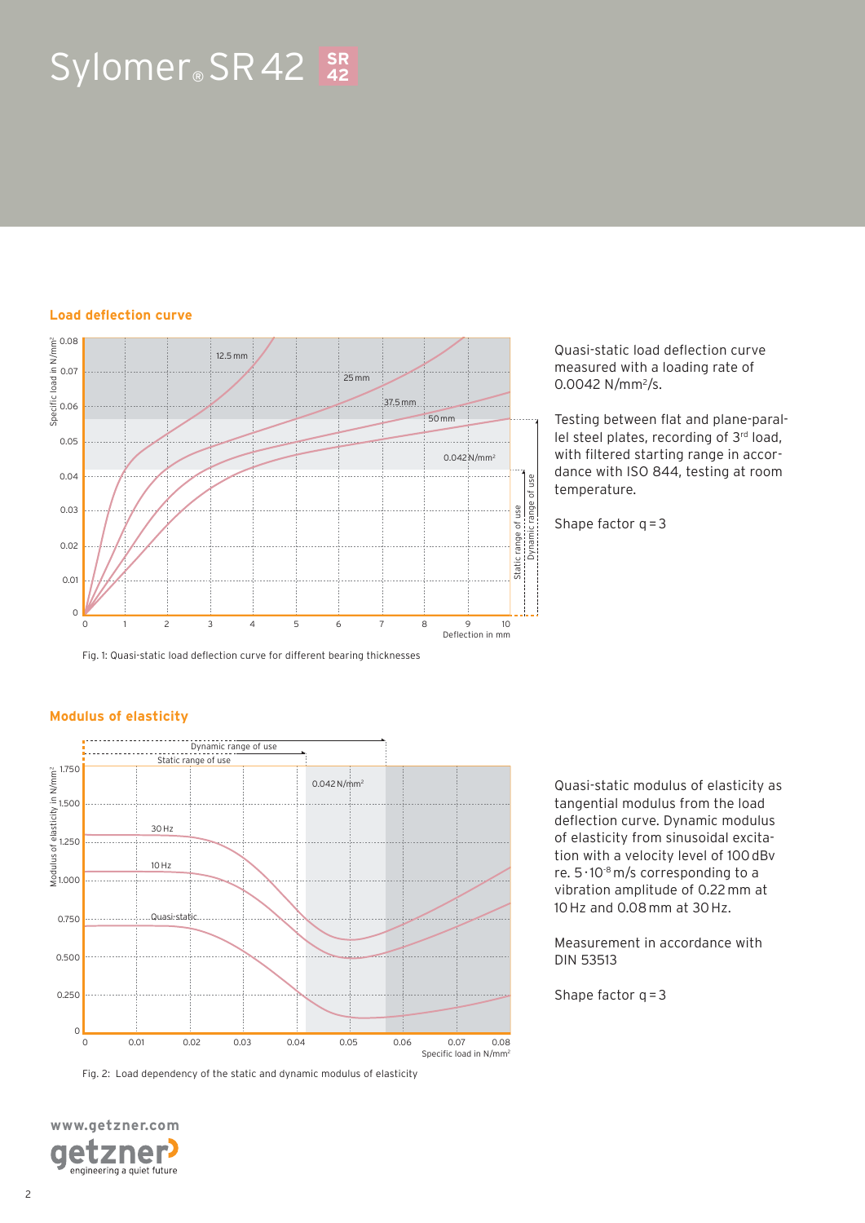# Sylomer® SR 42 **SR 42**

### **Load deflection curve**



Fig. 1: Quasi-static load deflection curve for different bearing thicknesses

Quasi-static load deflection curve measured with a loading rate of 0.0042 N/mm<sup>2</sup>/s.

Testing between flat and plane-parallel steel plates, recording of 3rd load, with filtered starting range in accordance with ISO 844, testing at room temperature.

Shape factor  $q = 3$ 

### **Modulus of elasticity**



Fig. 2: Load dependency of the static and dynamic modulus of elasticity



Quasi-static modulus of elasticity as tangential modulus from the load deflection curve. Dynamic modulus of elasticity from sinusoidal excitation with a velocity level of 100 dBv re.  $5 \cdot 10^{-8}$  m/s corresponding to a vibration amplitude of 0.22 mm at 10 Hz and 0.08 mm at 30 Hz.

Measurement in accordance with DIN 53513

Shape factor  $q = 3$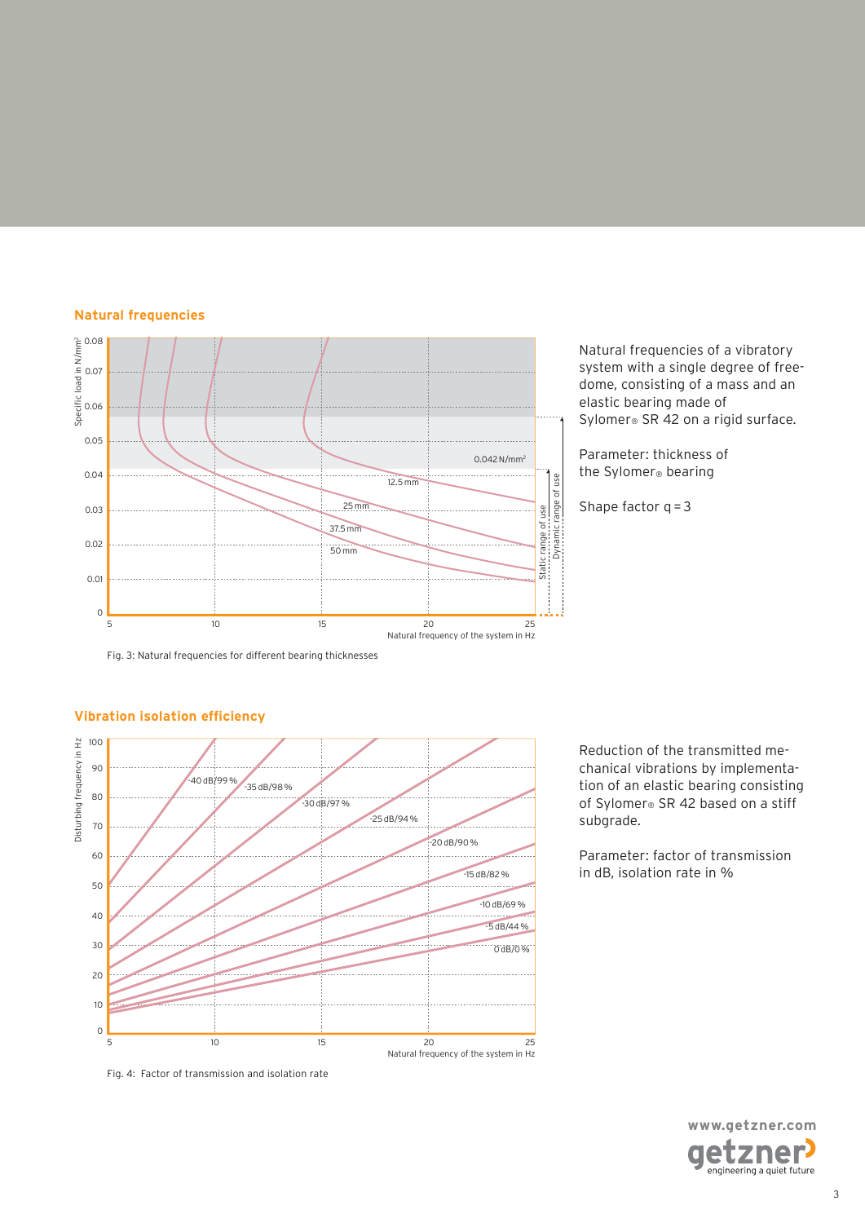### **Natural frequencies**



Natural frequencies of a vibratory system with a single degree of freedome, consisting of a mass and an elastic bearing made of Sylomer<sup>®</sup> SR 42 on a rigid surface.

Parameter: thickness of the Sylomer® bearing

Shape factor  $q = 3$ 

Fig. 3: Natural frequencies for different bearing thicknesses



### **Vibration isolation efficiency**

Fig. 4: Factor of transmission and isolation rate

Reduction of the transmitted mechanical vibrations by implementation of an elastic bearing consisting of Sylomer® SR 42 based on a stiff subgrade.

Parameter: factor of transmission in dB, isolation rate in %